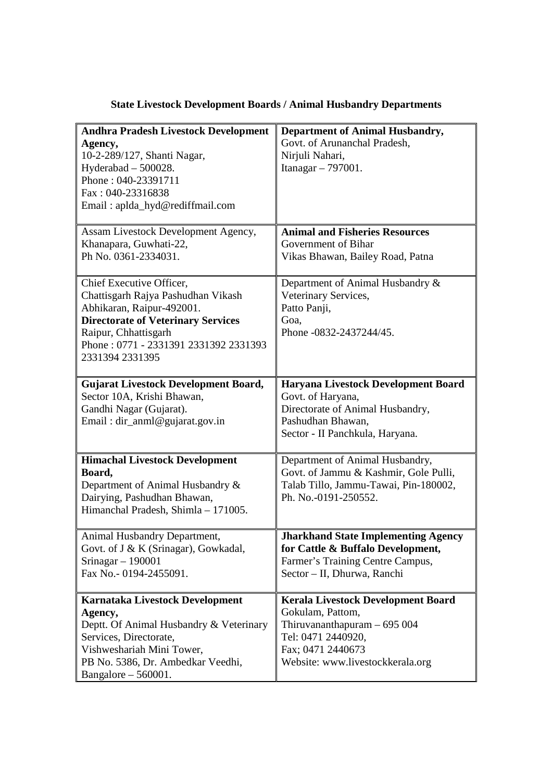| <b>Andhra Pradesh Livestock Development</b><br>Agency,<br>10-2-289/127, Shanti Nagar,<br>Hyderabad - 500028.<br>Phone: 040-23391711<br>Fax: 040-23316838<br>Email: aplda_hyd@rediffmail.com                                  | <b>Department of Animal Husbandry,</b><br>Govt. of Arunanchal Pradesh,<br>Nirjuli Nahari,<br>Itanagar - 797001.                                                              |
|------------------------------------------------------------------------------------------------------------------------------------------------------------------------------------------------------------------------------|------------------------------------------------------------------------------------------------------------------------------------------------------------------------------|
| Assam Livestock Development Agency,<br>Khanapara, Guwhati-22,<br>Ph No. 0361-2334031.                                                                                                                                        | <b>Animal and Fisheries Resources</b><br>Government of Bihar<br>Vikas Bhawan, Bailey Road, Patna                                                                             |
| Chief Executive Officer,<br>Chattisgarh Rajya Pashudhan Vikash<br>Abhikaran, Raipur-492001.<br><b>Directorate of Veterinary Services</b><br>Raipur, Chhattisgarh<br>Phone: 0771 - 2331391 2331392 2331393<br>2331394 2331395 | Department of Animal Husbandry &<br>Veterinary Services,<br>Patto Panji,<br>Goa,<br>Phone -0832-2437244/45.                                                                  |
| <b>Gujarat Livestock Development Board,</b><br>Sector 10A, Krishi Bhawan,<br>Gandhi Nagar (Gujarat).<br>Email: dir_anml@gujarat.gov.in                                                                                       | Haryana Livestock Development Board<br>Govt. of Haryana,<br>Directorate of Animal Husbandry,<br>Pashudhan Bhawan,<br>Sector - II Panchkula, Haryana.                         |
| <b>Himachal Livestock Development</b><br>Board,<br>Department of Animal Husbandry &<br>Dairying, Pashudhan Bhawan,<br>Himanchal Pradesh, Shimla - 171005.                                                                    | Department of Animal Husbandry,<br>Govt. of Jammu & Kashmir, Gole Pulli,<br>Talab Tillo, Jammu-Tawai, Pin-180002,<br>Ph. No.-0191-250552.                                    |
| Animal Husbandry Department,<br>Govt. of J & K (Srinagar), Gowkadal,<br>Srinagar $-190001$<br>Fax No.- 0194-2455091.                                                                                                         | <b>Jharkhand State Implementing Agency</b><br>for Cattle & Buffalo Development,<br>Farmer's Training Centre Campus,<br>Sector - II, Dhurwa, Ranchi                           |
| Karnataka Livestock Development<br>Agency,<br>Deptt. Of Animal Husbandry & Veterinary<br>Services, Directorate,<br>Vishweshariah Mini Tower,<br>PB No. 5386, Dr. Ambedkar Veedhi,<br>Bangalore $-560001$ .                   | <b>Kerala Livestock Development Board</b><br>Gokulam, Pattom,<br>Thiruvananthapuram $-695004$<br>Tel: 0471 2440920,<br>Fax; 0471 2440673<br>Website: www.livestockkerala.org |

## **State Livestock Development Boards / Animal Husbandry Departments**